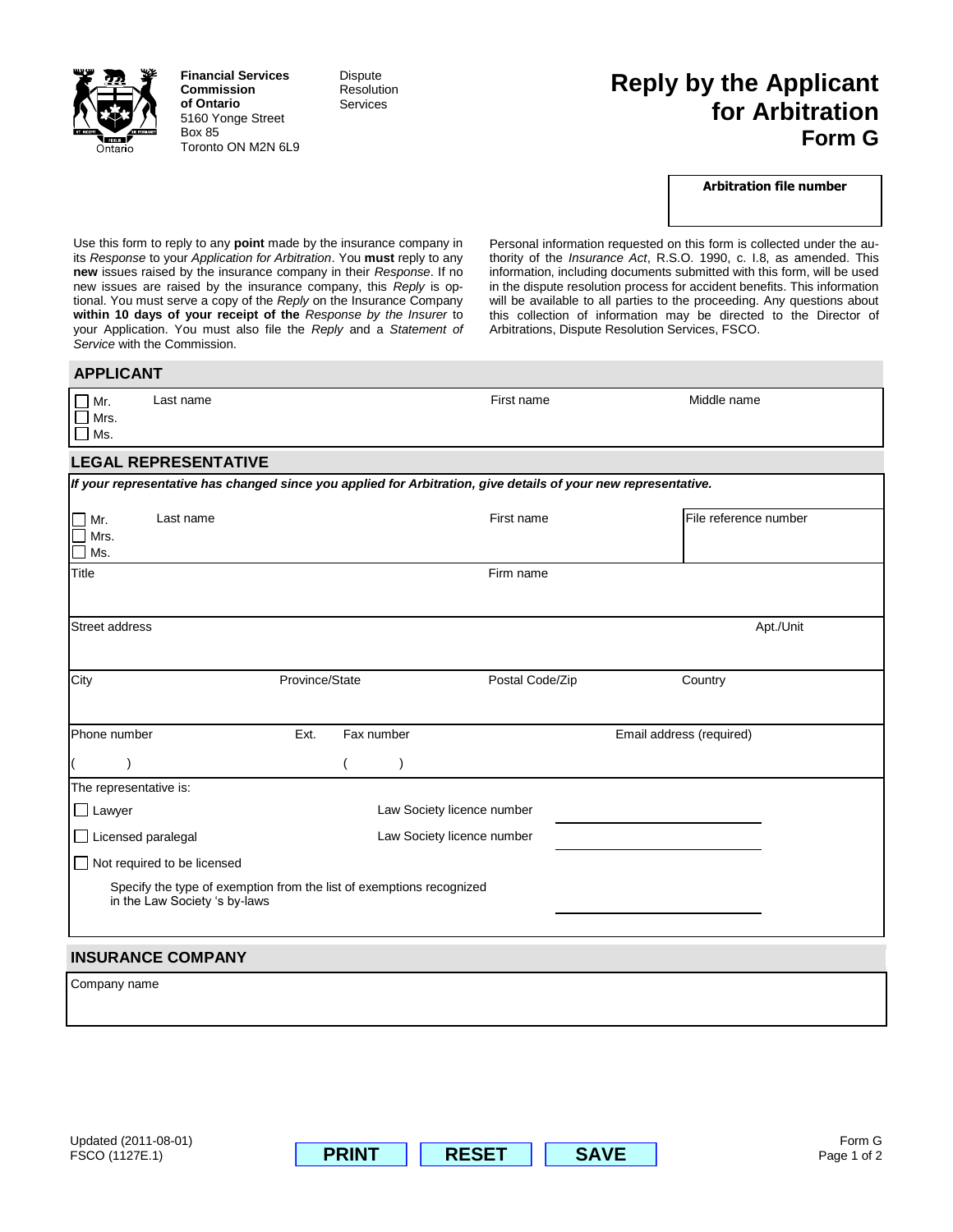

**Financial Services Commission of Ontario** 5160 Yonge Street Box 85 Toronto ON M2N 6L9 Dispute Resolution **Services** 

## **Reply by the Applicant for Arbitration Form G**

## **Arbitration file number**

Use this form to reply to any **point** made by the insurance company in its *Response* to your *Application for Arbitration*. You **must** reply to any **new** issues raised by the insurance company in their *Response*. If no new issues are raised by the insurance company, this *Reply* is optional. You must serve a copy of the *Reply* on the Insurance Company **within 10 days of your receipt of the** *Response by the Insurer* to your Application. You must also file the *Reply* and a *Statement of Service* with the Commission.

Personal information requested on this form is collected under the authority of the *Insurance Act*, R.S.O. 1990, c. I.8, as amended. This information, including documents submitted with this form, will be used in the dispute resolution process for accident benefits. This information will be available to all parties to the proceeding. Any questions about this collection of information may be directed to the Director of Arbitrations, Dispute Resolution Services, FSCO.

## **APPLICANT**

| Last name<br>Mr.<br>Mrs.<br>Ms.                                                                                |                                                                      |                            | First name                 |                          | Middle name           |
|----------------------------------------------------------------------------------------------------------------|----------------------------------------------------------------------|----------------------------|----------------------------|--------------------------|-----------------------|
| <b>LEGAL REPRESENTATIVE</b>                                                                                    |                                                                      |                            |                            |                          |                       |
| If your representative has changed since you applied for Arbitration, give details of your new representative. |                                                                      |                            |                            |                          |                       |
| Last name<br>Mr.<br>Mrs.<br>Ms.                                                                                |                                                                      |                            | First name                 |                          | File reference number |
| <b>Title</b>                                                                                                   |                                                                      |                            | Firm name                  |                          |                       |
| <b>Street address</b>                                                                                          |                                                                      |                            |                            |                          | Apt./Unit             |
| City                                                                                                           | Province/State                                                       |                            | Postal Code/Zip            |                          | Country               |
| Phone number                                                                                                   | Ext.<br>Fax number                                                   |                            |                            | Email address (required) |                       |
|                                                                                                                |                                                                      | J                          |                            |                          |                       |
| The representative is:                                                                                         |                                                                      |                            |                            |                          |                       |
| $\Box$ Lawyer                                                                                                  |                                                                      |                            | Law Society licence number |                          |                       |
| $\Box$ Licensed paralegal                                                                                      |                                                                      | Law Society licence number |                            |                          |                       |
| $\Box$ Not required to be licensed                                                                             |                                                                      |                            |                            |                          |                       |
| in the Law Society 's by-laws                                                                                  | Specify the type of exemption from the list of exemptions recognized |                            |                            |                          |                       |
| <b>INSURANCE COMPANY</b>                                                                                       |                                                                      |                            |                            |                          |                       |
| Company name                                                                                                   |                                                                      |                            |                            |                          |                       |